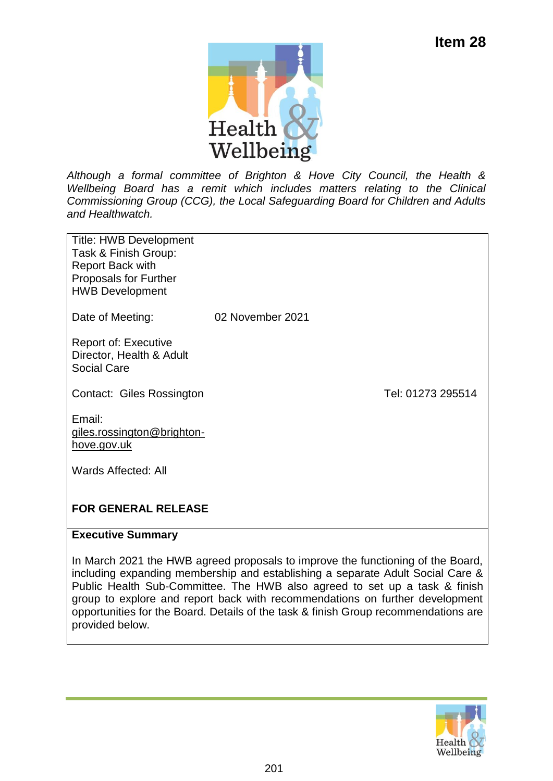

*Although a formal committee of Brighton & Hove City Council, the Health & Wellbeing Board has a remit which includes matters relating to the Clinical Commissioning Group (CCG), the Local Safeguarding Board for Children and Adults and Healthwatch.* 

Title: HWB Development Task & Finish Group: Report Back with Proposals for Further HWB Development

Date of Meeting: 02 November 2021

Report of: Executive Director, Health & Adult Social Care

Contact: Giles Rossington Contact: Giles Rossington

Email: [giles.rossington@brighton](mailto:giles.rossington@brighton-hove.gov.uk)[hove.gov.uk](mailto:giles.rossington@brighton-hove.gov.uk)

Wards Affected: All

### **FOR GENERAL RELEASE**

### **Executive Summary**

In March 2021 the HWB agreed proposals to improve the functioning of the Board, including expanding membership and establishing a separate Adult Social Care & Public Health Sub-Committee. The HWB also agreed to set up a task & finish group to explore and report back with recommendations on further development opportunities for the Board. Details of the task & finish Group recommendations are provided below.

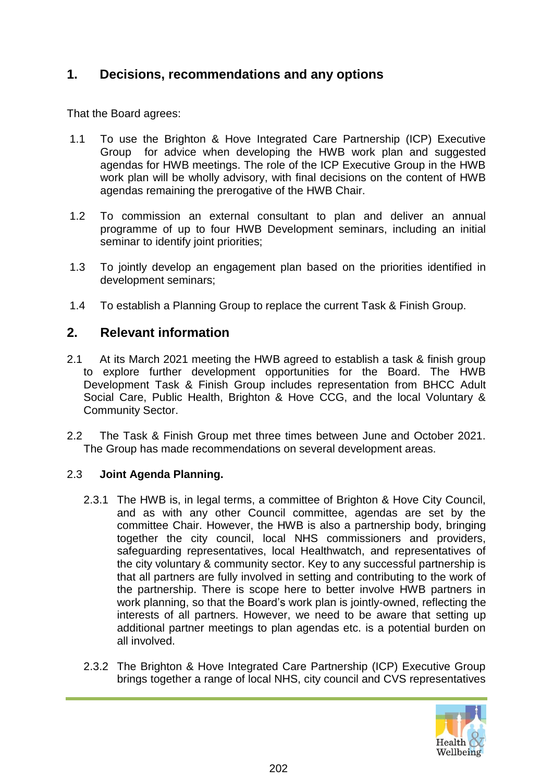# **1. Decisions, recommendations and any options**

That the Board agrees:

- 1.1 To use the Brighton & Hove Integrated Care Partnership (ICP) Executive Group for advice when developing the HWB work plan and suggested agendas for HWB meetings. The role of the ICP Executive Group in the HWB work plan will be wholly advisory, with final decisions on the content of HWB agendas remaining the prerogative of the HWB Chair.
- 1.2 To commission an external consultant to plan and deliver an annual programme of up to four HWB Development seminars, including an initial seminar to identify joint priorities;
- 1.3 To jointly develop an engagement plan based on the priorities identified in development seminars;
- 1.4 To establish a Planning Group to replace the current Task & Finish Group.

# **2. Relevant information**

- 2.1 At its March 2021 meeting the HWB agreed to establish a task & finish group to explore further development opportunities for the Board. The HWB Development Task & Finish Group includes representation from BHCC Adult Social Care, Public Health, Brighton & Hove CCG, and the local Voluntary & Community Sector.
- 2.2 The Task & Finish Group met three times between June and October 2021. The Group has made recommendations on several development areas.

### 2.3 **Joint Agenda Planning.**

- 2.3.1 The HWB is, in legal terms, a committee of Brighton & Hove City Council, and as with any other Council committee, agendas are set by the committee Chair. However, the HWB is also a partnership body, bringing together the city council, local NHS commissioners and providers, safeguarding representatives, local Healthwatch, and representatives of the city voluntary & community sector. Key to any successful partnership is that all partners are fully involved in setting and contributing to the work of the partnership. There is scope here to better involve HWB partners in work planning, so that the Board's work plan is jointly-owned, reflecting the interests of all partners. However, we need to be aware that setting up additional partner meetings to plan agendas etc. is a potential burden on all involved.
- 2.3.2 The Brighton & Hove Integrated Care Partnership (ICP) Executive Group brings together a range of local NHS, city council and CVS representatives

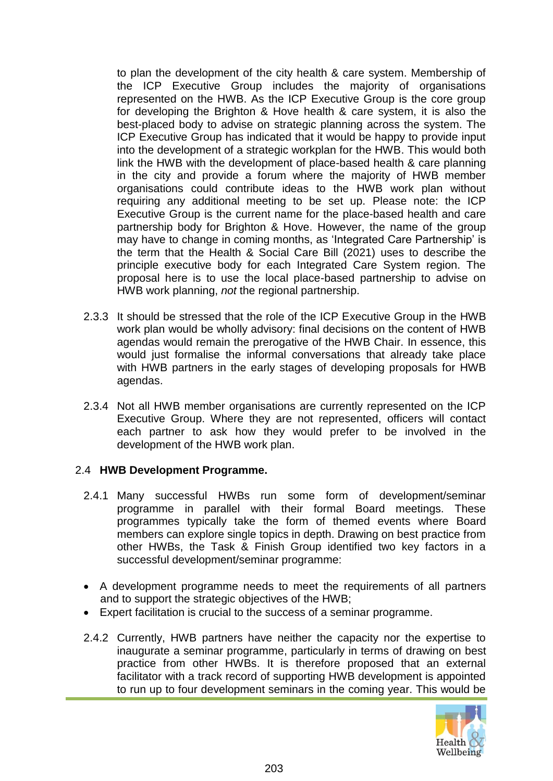to plan the development of the city health & care system. Membership of the ICP Executive Group includes the majority of organisations represented on the HWB. As the ICP Executive Group is the core group for developing the Brighton & Hove health & care system, it is also the best-placed body to advise on strategic planning across the system. The ICP Executive Group has indicated that it would be happy to provide input into the development of a strategic workplan for the HWB. This would both link the HWB with the development of place-based health & care planning in the city and provide a forum where the majority of HWB member organisations could contribute ideas to the HWB work plan without requiring any additional meeting to be set up. Please note: the ICP Executive Group is the current name for the place-based health and care partnership body for Brighton & Hove. However, the name of the group may have to change in coming months, as 'Integrated Care Partnership' is the term that the Health & Social Care Bill (2021) uses to describe the principle executive body for each Integrated Care System region. The proposal here is to use the local place-based partnership to advise on HWB work planning, *not* the regional partnership.

- 2.3.3 It should be stressed that the role of the ICP Executive Group in the HWB work plan would be wholly advisory: final decisions on the content of HWB agendas would remain the prerogative of the HWB Chair. In essence, this would just formalise the informal conversations that already take place with HWB partners in the early stages of developing proposals for HWB agendas.
- 2.3.4 Not all HWB member organisations are currently represented on the ICP Executive Group. Where they are not represented, officers will contact each partner to ask how they would prefer to be involved in the development of the HWB work plan.

### 2.4 **HWB Development Programme.**

- 2.4.1 Many successful HWBs run some form of development/seminar programme in parallel with their formal Board meetings. These programmes typically take the form of themed events where Board members can explore single topics in depth. Drawing on best practice from other HWBs, the Task & Finish Group identified two key factors in a successful development/seminar programme:
- A development programme needs to meet the requirements of all partners and to support the strategic objectives of the HWB;
- Expert facilitation is crucial to the success of a seminar programme.
- 2.4.2 Currently, HWB partners have neither the capacity nor the expertise to inaugurate a seminar programme, particularly in terms of drawing on best practice from other HWBs. It is therefore proposed that an external facilitator with a track record of supporting HWB development is appointed to run up to four development seminars in the coming year. This would be

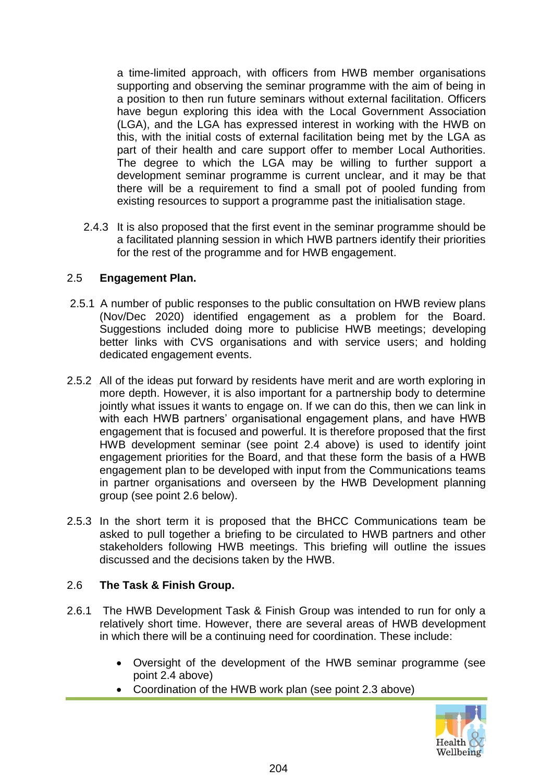a time-limited approach, with officers from HWB member organisations supporting and observing the seminar programme with the aim of being in a position to then run future seminars without external facilitation. Officers have begun exploring this idea with the Local Government Association (LGA), and the LGA has expressed interest in working with the HWB on this, with the initial costs of external facilitation being met by the LGA as part of their health and care support offer to member Local Authorities. The degree to which the LGA may be willing to further support a development seminar programme is current unclear, and it may be that there will be a requirement to find a small pot of pooled funding from existing resources to support a programme past the initialisation stage.

2.4.3 It is also proposed that the first event in the seminar programme should be a facilitated planning session in which HWB partners identify their priorities for the rest of the programme and for HWB engagement.

#### 2.5 **Engagement Plan.**

- 2.5.1 A number of public responses to the public consultation on HWB review plans (Nov/Dec 2020) identified engagement as a problem for the Board. Suggestions included doing more to publicise HWB meetings; developing better links with CVS organisations and with service users; and holding dedicated engagement events.
- 2.5.2 All of the ideas put forward by residents have merit and are worth exploring in more depth. However, it is also important for a partnership body to determine jointly what issues it wants to engage on. If we can do this, then we can link in with each HWB partners' organisational engagement plans, and have HWB engagement that is focused and powerful. It is therefore proposed that the first HWB development seminar (see point 2.4 above) is used to identify joint engagement priorities for the Board, and that these form the basis of a HWB engagement plan to be developed with input from the Communications teams in partner organisations and overseen by the HWB Development planning group (see point 2.6 below).
- 2.5.3 In the short term it is proposed that the BHCC Communications team be asked to pull together a briefing to be circulated to HWB partners and other stakeholders following HWB meetings. This briefing will outline the issues discussed and the decisions taken by the HWB.

### 2.6 **The Task & Finish Group.**

- 2.6.1 The HWB Development Task & Finish Group was intended to run for only a relatively short time. However, there are several areas of HWB development in which there will be a continuing need for coordination. These include:
	- Oversight of the development of the HWB seminar programme (see point 2.4 above)
	- Coordination of the HWB work plan (see point 2.3 above)

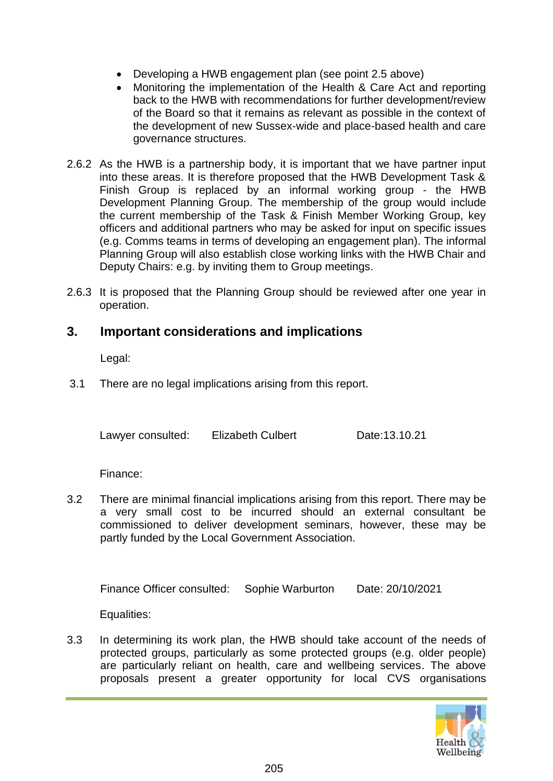- Developing a HWB engagement plan (see point 2.5 above)
- Monitoring the implementation of the Health & Care Act and reporting back to the HWB with recommendations for further development/review of the Board so that it remains as relevant as possible in the context of the development of new Sussex-wide and place-based health and care governance structures.
- 2.6.2 As the HWB is a partnership body, it is important that we have partner input into these areas. It is therefore proposed that the HWB Development Task & Finish Group is replaced by an informal working group - the HWB Development Planning Group. The membership of the group would include the current membership of the Task & Finish Member Working Group, key officers and additional partners who may be asked for input on specific issues (e.g. Comms teams in terms of developing an engagement plan). The informal Planning Group will also establish close working links with the HWB Chair and Deputy Chairs: e.g. by inviting them to Group meetings.
- 2.6.3 It is proposed that the Planning Group should be reviewed after one year in operation.

### **3. Important considerations and implications**

Legal:

3.1 There are no legal implications arising from this report.

Lawyer consulted: Elizabeth Culbert Date:13.10.21

Finance:

3.2 There are minimal financial implications arising from this report. There may be a very small cost to be incurred should an external consultant be commissioned to deliver development seminars, however, these may be partly funded by the Local Government Association.

Finance Officer consulted: Sophie Warburton Date: 20/10/2021

Equalities:

3.3 In determining its work plan, the HWB should take account of the needs of protected groups, particularly as some protected groups (e.g. older people) are particularly reliant on health, care and wellbeing services. The above proposals present a greater opportunity for local CVS organisations